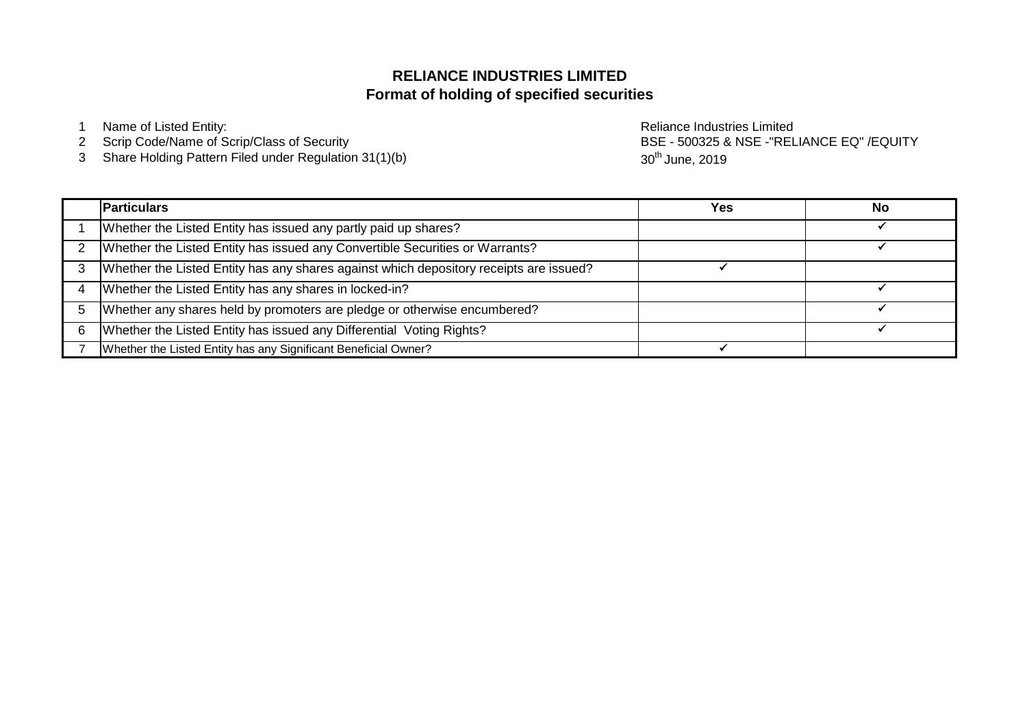# **Format of holding of specified securities RELIANCE INDUSTRIES LIMITED**

1 Name of Listed Entity: **Name of Listed Entity:** And The Control of Listed Entity: **Reliance Industries Limited** 

- 2 Scrip Code/Name of Scrip/Class of Security
- 3 Share Holding Pattern Filed under Regulation 31(1)(b)

BSE - 500325 & NSE -"RELIANCE EQ" /EQUITY 30<sup>th</sup> June, 2019

|   | <b>Particulars</b>                                                                     | Yes | No |
|---|----------------------------------------------------------------------------------------|-----|----|
|   | Whether the Listed Entity has issued any partly paid up shares?                        |     |    |
|   | Whether the Listed Entity has issued any Convertible Securities or Warrants?           |     |    |
|   | Whether the Listed Entity has any shares against which depository receipts are issued? |     |    |
|   | Whether the Listed Entity has any shares in locked-in?                                 |     |    |
|   | Whether any shares held by promoters are pledge or otherwise encumbered?               |     |    |
| 6 | Whether the Listed Entity has issued any Differential Voting Rights?                   |     |    |
|   | Whether the Listed Entity has any Significant Beneficial Owner?                        |     |    |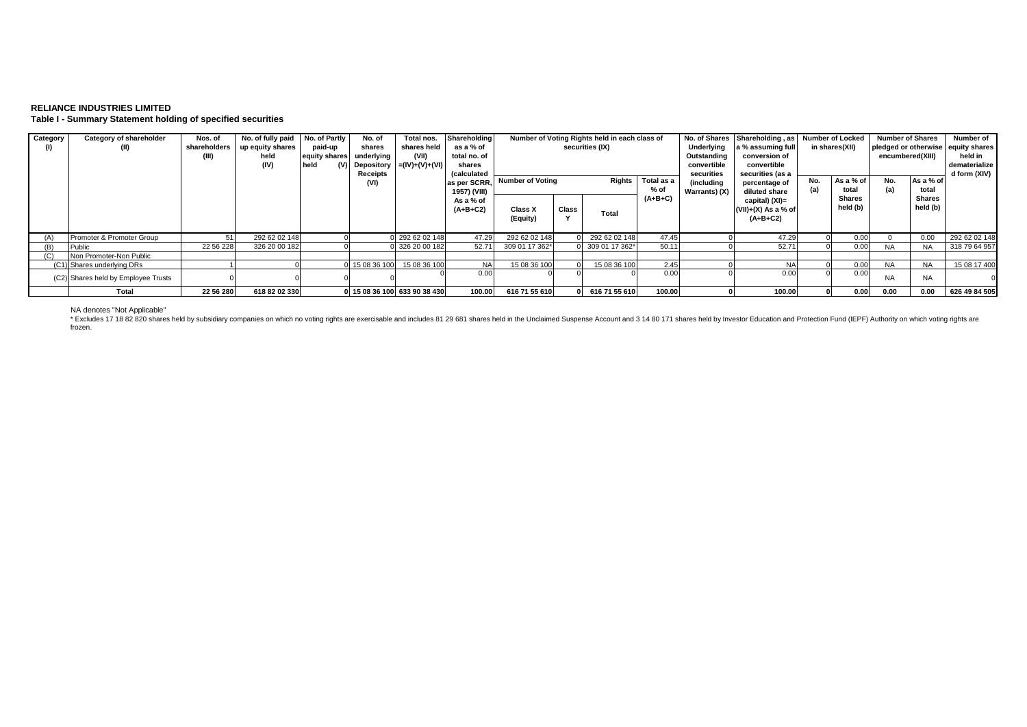### **RELIANCE INDUSTRIES LIMITED Table I - Summary Statement holding of specified securities**

| Category | Category of shareholder<br>(II)     | Nos. of<br>shareholders<br>(III) | No. of fully paid<br>up equity shares<br>held<br>(IV) | No. of Partly<br>paid-up<br>equity shares<br>held<br>(V) | No. of<br>shares<br>underlying<br>Depository<br>Receipts | Total nos.<br>shares held<br>(VII)<br>$= (IV)+(V)+(V))$ | Shareholding<br>as a % of<br>total no. of<br>shares<br>(calculated | Number of Voting Rights held in each class of<br>securities (IX) |       |                                                   | Underlying<br>Outstanding<br>convertible<br>securities | No. of Shares   Shareholding, as   Number of Locked<br>a % assuming full<br>conversion of<br>convertible<br>securities (as a |                                                       | in shares(XII)     |                    | <b>Number of Shares</b><br>pledged or otherwise equity shares<br>encumbered(XIII) |                           |               |
|----------|-------------------------------------|----------------------------------|-------------------------------------------------------|----------------------------------------------------------|----------------------------------------------------------|---------------------------------------------------------|--------------------------------------------------------------------|------------------------------------------------------------------|-------|---------------------------------------------------|--------------------------------------------------------|------------------------------------------------------------------------------------------------------------------------------|-------------------------------------------------------|--------------------|--------------------|-----------------------------------------------------------------------------------|---------------------------|---------------|
|          |                                     |                                  |                                                       |                                                          | (VI)                                                     |                                                         | as per SCRR.<br>1957) (VIII)                                       | <b>Number of Voting</b><br>Rights                                |       | Total as a<br>(including<br>% of<br>Warrants) (X) |                                                        | percentage of<br>diluted share                                                                                               | No.                                                   | As a % of<br>total | No.<br>(a)         | As a % of<br>total                                                                | d form (XIV)              |               |
|          |                                     |                                  |                                                       |                                                          |                                                          |                                                         | As a % of<br>$(A+B+C2)$                                            | Class X<br>(Equity)                                              | Class | Total                                             | $(A+B+C)$                                              |                                                                                                                              | capital) (XI)=<br>$(VII)+(X)$ As a % of<br>$(A+B+C2)$ |                    | Shares<br>held (b) |                                                                                   | <b>Shares</b><br>held (b) |               |
| (A)      | Promoter & Promoter Group           |                                  | 292 62 02 148                                         |                                                          |                                                          | 292 62 02 148                                           | 47.29                                                              | 292 62 02 148                                                    |       | 292 62 02 148                                     | 47.45                                                  |                                                                                                                              | 47.29                                                 |                    | 0.00               |                                                                                   | 0.00                      | 292 62 02 148 |
| (B)      | Public                              | 22 56 228                        | 326 20 00 182                                         |                                                          |                                                          | 326 20 00 182                                           | 52.71                                                              | 309 01 17 362*                                                   |       | 309 01 17 362*                                    | 50.11                                                  |                                                                                                                              | 52.71                                                 |                    | 0.00               | <b>NA</b>                                                                         | NA                        | 318 79 64 957 |
| (C)      | Non Promoter-Non Public             |                                  |                                                       |                                                          |                                                          |                                                         |                                                                    |                                                                  |       |                                                   |                                                        |                                                                                                                              |                                                       |                    |                    |                                                                                   |                           |               |
|          | (C1) Shares underlying DRs          |                                  |                                                       |                                                          | 15 08 36 100                                             | 15 08 36 100                                            | <b>NA</b>                                                          | 15 08 36 100                                                     |       | 15 08 36 100                                      | 2.45                                                   |                                                                                                                              | <b>NA</b>                                             |                    | 0.00               | <b>NA</b>                                                                         | <b>NA</b>                 | 15 08 17 400  |
|          | (C2) Shares held by Employee Trusts |                                  |                                                       |                                                          |                                                          |                                                         | 0.00                                                               |                                                                  |       |                                                   | 0.00                                                   |                                                                                                                              | 0.00                                                  |                    | 0.00               | <b>NA</b>                                                                         | <b>NA</b>                 |               |
|          | <b>Total</b>                        | 22 56 280                        | 618 82 02 330                                         |                                                          |                                                          | 0 15 08 36 100 633 90 38 430                            | 100.00                                                             | 616 71 55 610                                                    |       | 616 71 55 610                                     | 100.00                                                 |                                                                                                                              | 100.00                                                |                    | 0.00               | 0.00                                                                              | 0.00                      | 626 49 84 505 |

NA denotes "Not Applicable"<br>\* Excludes 17 18 82 820 shares held by subsidiary companies on which no voting rights are exercisable and includes 81 29 681 shares held in the Unclaimed Suspense Account and 3 14 80 171 shares frozen.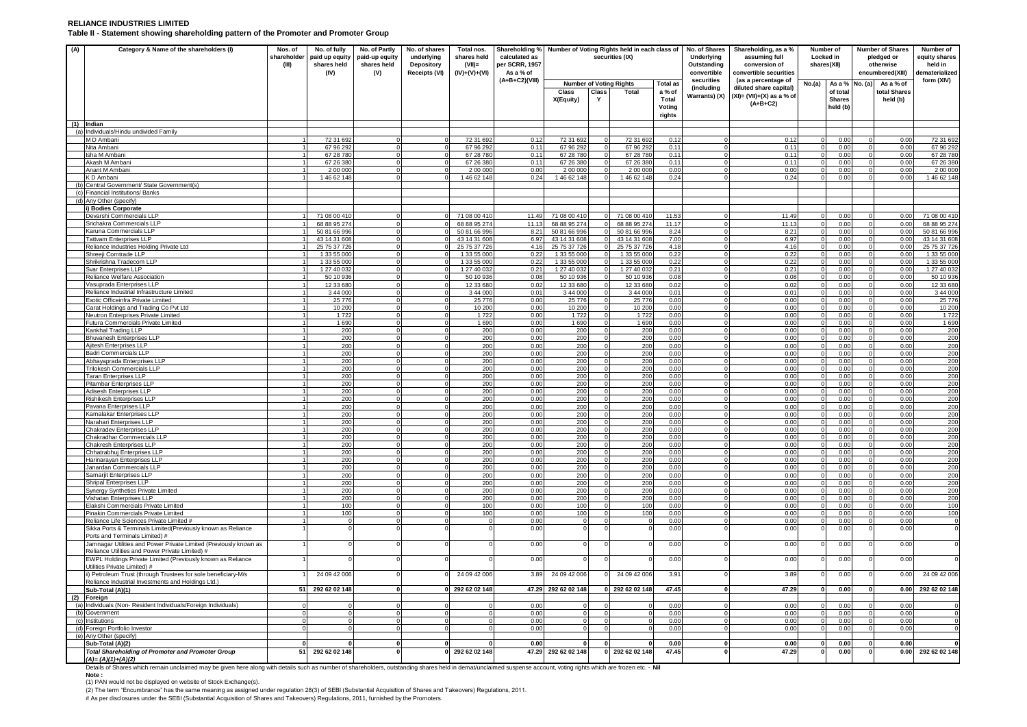#### **RELIANCE INDUSTRIES LIMITED Table II - Statement showing shareholding pattern of the Promoter and Promoter Group**

| (A) | Category & Name of the shareholders (I)                                                                                                                                                                              | Nos. of<br>shareholder<br>(III) | No. of fully<br>paid up equity<br>shares held<br>(IV) | No. of Partly<br>paid-up equity<br>shares held<br>(V) | No. of shares<br>underlying<br><b>Depository</b><br>Receipts (VI) | Total nos.<br>shares held<br>$(VII)$ =<br>$(IV)+(V)+(VI)$ | Shareholding % Number of Voting Rights held in each class of<br>calculated as<br>per SCRR, 1957<br>As a % of |                              |            | securities (IX)                |                  | No. of Shares<br>Underlying<br>Outstanding<br>convertible | Shareholding, as a %<br>assuming full<br>conversion of<br>convertible securities |          | Number of<br>Locked in<br>shares(XII) | <b>Number of Shares</b><br>pledged or<br>otherwise<br>encumbered(XIII) |              | Number of<br>equity shares<br>held in<br>dematerialized |
|-----|----------------------------------------------------------------------------------------------------------------------------------------------------------------------------------------------------------------------|---------------------------------|-------------------------------------------------------|-------------------------------------------------------|-------------------------------------------------------------------|-----------------------------------------------------------|--------------------------------------------------------------------------------------------------------------|------------------------------|------------|--------------------------------|------------------|-----------------------------------------------------------|----------------------------------------------------------------------------------|----------|---------------------------------------|------------------------------------------------------------------------|--------------|---------------------------------------------------------|
|     |                                                                                                                                                                                                                      |                                 |                                                       |                                                       |                                                                   |                                                           | (A+B+C2)(VIII)                                                                                               |                              |            | <b>Number of Voting Rights</b> | <b>Total as</b>  | securities<br>(including                                  | (as a percentage of<br>diluted share capital)                                    | No.(a)   | As a % No. (a)                        |                                                                        | As a % of    | form (XIV)                                              |
|     |                                                                                                                                                                                                                      |                                 |                                                       |                                                       |                                                                   |                                                           |                                                                                                              | Class                        | Class<br>Y | Total                          | a % of<br>Total  | Warrants) (X)                                             | $(XI) = (VII)+(X)$ as a % of                                                     |          | of total<br><b>Shares</b>             |                                                                        | total Shares |                                                         |
|     |                                                                                                                                                                                                                      |                                 |                                                       |                                                       |                                                                   |                                                           |                                                                                                              | X(Equity)                    |            |                                | Voting<br>rights |                                                           | $(A+B+C2)$                                                                       |          | held (b)                              |                                                                        | held (b)     |                                                         |
|     | (1) Indian                                                                                                                                                                                                           |                                 |                                                       |                                                       |                                                                   |                                                           |                                                                                                              |                              |            |                                |                  |                                                           |                                                                                  |          |                                       |                                                                        |              |                                                         |
|     | (a) Individuals/Hindu undivided Family                                                                                                                                                                               |                                 |                                                       |                                                       |                                                                   |                                                           |                                                                                                              |                              |            |                                |                  |                                                           |                                                                                  |          |                                       |                                                                        |              |                                                         |
|     | M D Ambani<br>Nita Ambani                                                                                                                                                                                            |                                 | 72 31 692<br>67 96 292                                |                                                       |                                                                   | 72 31 692<br>67 96 292                                    | 0.12<br>0.11                                                                                                 | 72 31 692<br>67 96 292       |            | 72 31 692<br>67 96 292         | 0.12<br>0.11     |                                                           | 0.12<br>0.11                                                                     |          | 0.00<br>0.00                          |                                                                        | 0.00<br>0.00 | 72 31 692<br>67 96 292                                  |
|     | Isha M Ambar                                                                                                                                                                                                         |                                 | 67 28 780                                             |                                                       |                                                                   | 67 28 780                                                 | 0.11                                                                                                         | 67 28 780                    |            | 67 28 780                      | 0.11             |                                                           | 0.11                                                                             |          | 0.00                                  |                                                                        | 0.00         | 67 28 780                                               |
|     | Akash M Ambani                                                                                                                                                                                                       |                                 | 67 26 380                                             |                                                       |                                                                   | 67 26 380                                                 | 0.11                                                                                                         | 67 26 380                    |            | 67 26 380                      | 0.11             |                                                           | 0.11                                                                             |          | 0.00                                  |                                                                        | 0.00         | 67 26 380                                               |
|     | Anant M Ambani                                                                                                                                                                                                       |                                 | 2 00 000                                              |                                                       |                                                                   | 2 00 00                                                   | 0.00                                                                                                         | 2 00 00                      |            | 2 00 000                       | 0.00             |                                                           | 0.00                                                                             |          | 0.00                                  |                                                                        | 0.00         | 2 00 000                                                |
| (h) | K D Ambani                                                                                                                                                                                                           |                                 | 146 62 148                                            |                                                       |                                                                   | 146 62 148                                                | 0.24                                                                                                         | 1 46 62 148                  |            | 146 62 148                     | 0.24             |                                                           | 0.24                                                                             |          | 0.00                                  |                                                                        | 0.00         | 146 62 148                                              |
| (c) | Central Government/ State Government(s)<br>Financial Institutions/ Banks                                                                                                                                             |                                 |                                                       |                                                       |                                                                   |                                                           |                                                                                                              |                              |            |                                |                  |                                                           |                                                                                  |          |                                       |                                                                        |              |                                                         |
| (d) | Any Other (specify)                                                                                                                                                                                                  |                                 |                                                       |                                                       |                                                                   |                                                           |                                                                                                              |                              |            |                                |                  |                                                           |                                                                                  |          |                                       |                                                                        |              |                                                         |
|     | i) Bodies Corporate                                                                                                                                                                                                  |                                 |                                                       |                                                       |                                                                   |                                                           |                                                                                                              |                              |            |                                |                  |                                                           |                                                                                  |          |                                       |                                                                        |              |                                                         |
|     | Devarshi Commercials LLP                                                                                                                                                                                             |                                 | 71 08 00 41                                           |                                                       |                                                                   | 71 08 00 41                                               | 11.49                                                                                                        | 71 08 00 41                  |            | 71 08 00 41                    | 11.53            |                                                           | 11.49                                                                            |          | 0.00                                  |                                                                        | 0.00         | 71 08 00 410                                            |
|     | Srichakra Commercials LLP<br>Karuna Commercials LLP                                                                                                                                                                  |                                 | 68 88 95 274<br>50 81 66 996                          |                                                       |                                                                   | 68 88 95 274<br>50 81 66 996                              | 11.13                                                                                                        | 68 88 95 274<br>50 81 66 996 |            | 68 88 95 274                   | 11.17            |                                                           | 11.13                                                                            |          | 0.00<br>0.00                          |                                                                        | 0.00<br>0.00 | 68 88 95 274                                            |
|     | <b>Tattvam Enterprises LLP</b>                                                                                                                                                                                       |                                 | 43 14 31 608                                          |                                                       |                                                                   | 43 14 31 608                                              | 8.21<br>6.97                                                                                                 | 43 14 31 608                 |            | 50 81 66 996<br>43 14 31 608   | 8.24<br>7.00     |                                                           | 8.21<br>6.97                                                                     |          | 0.00                                  |                                                                        | 0.00         | 50 81 66 996<br>43 14 31 608                            |
|     | Reliance Industries Holding Private Ltd                                                                                                                                                                              |                                 | 25 75 37 72                                           |                                                       |                                                                   | 25 75 37 72                                               | 4.16                                                                                                         | 25 75 37 72                  |            | 25 75 37 72                    | 4.18             |                                                           | 4.16                                                                             |          | 0.00                                  |                                                                        | 0.00         | 25 75 37 72                                             |
|     | Shreeji Comtrade LLP                                                                                                                                                                                                 |                                 | 1 33 55 000                                           | $\Omega$                                              |                                                                   | 1 33 55 000                                               | 0.22                                                                                                         | 1 33 55 000                  |            | 1 33 55 000                    | 0.22             |                                                           | 0.22                                                                             | $\Omega$ | 0.00                                  | $\Omega$                                                               | 0.00         | 1 33 55 000                                             |
|     | Shrikrishna Tradecom LLP                                                                                                                                                                                             |                                 | 1 33 55 00                                            |                                                       |                                                                   | 1 33 55 000                                               | 0.22                                                                                                         | 1 33 55 000                  |            | 1 33 55 000                    | 0.22             |                                                           | 0.22                                                                             |          | 0.00                                  |                                                                        | 0.00         | 1 33 55 00                                              |
|     | Svar Enterprises LLP                                                                                                                                                                                                 |                                 | 1 27 40 032                                           |                                                       |                                                                   | 1 27 40 032                                               | 0.21                                                                                                         | 1 27 40 032                  |            | 1 27 40 03:                    | 0.21             | $\Omega$                                                  | 0.21                                                                             |          | 0.00                                  | $\Omega$                                                               | 0.00         | 1 27 40 032                                             |
|     | Reliance Welfare Association                                                                                                                                                                                         |                                 | 50 10 93                                              |                                                       |                                                                   | 50 10 936                                                 | 0.08                                                                                                         | 50 10 936                    |            | 50 10 936                      | 0.08             | $\Omega$                                                  | 0.08                                                                             | $\Omega$ | 0.00                                  |                                                                        | 0.00         | 50 10 93                                                |
|     | Vasuprada Enterprises LLP<br>Reliance Industrial Infrastructure Limited                                                                                                                                              |                                 | 12 33 680<br>3 44 00                                  |                                                       |                                                                   | 12 33 680<br>3 44 000                                     | 0.02<br>0.01                                                                                                 | 12 33 680<br>3 44 00         |            | 12 33 680<br>3 44 000          | 0.02<br>0.01     | $\Omega$                                                  | 0.02<br>0.01                                                                     |          | 0.00<br>0.00                          | $\Omega$                                                               | 0.00<br>0.00 | 12 33 680<br>3 44 00                                    |
|     | Exotic Officeinfra Private Limited                                                                                                                                                                                   |                                 | 25 7 7 6                                              |                                                       |                                                                   | 25 776                                                    | 0.00                                                                                                         | 25 7 7 6                     |            | 25 776                         | 0.00             |                                                           | 0.00                                                                             |          | 0.00                                  |                                                                        | 0.00         | 25 776                                                  |
|     | Carat Holdings and Trading Co Pvt Ltd                                                                                                                                                                                |                                 | 10 200                                                |                                                       |                                                                   | 10 200                                                    | 0.00                                                                                                         | 10 20                        |            | 10 200                         | 0.00             |                                                           | 0.00                                                                             |          | 0.00                                  |                                                                        | 0.00         | 10 200                                                  |
|     | <b>Neutron Enterprises Private Limited</b>                                                                                                                                                                           |                                 | 1722                                                  |                                                       |                                                                   | 1722                                                      | 0.00                                                                                                         | 1722                         |            | 1722                           | 0.00             |                                                           | 0.00                                                                             |          | 0.00                                  |                                                                        | 0.00         | 1722                                                    |
|     | Futura Commercials Private Limited                                                                                                                                                                                   |                                 | 1 6 9 0                                               |                                                       |                                                                   | 1 6 9 0                                                   | 0.00                                                                                                         | 1 6 9 0                      |            | 1690                           | 0.00             |                                                           | 0.00                                                                             |          | 0.00                                  |                                                                        | 0.00         | 1 6 9 0                                                 |
|     | <b>Kankhal Trading LLP</b>                                                                                                                                                                                           |                                 | 200<br>200                                            | $\Omega$                                              |                                                                   | 200<br>200                                                | 0.00<br>0.00                                                                                                 | 200<br>200                   |            | 200<br>200                     | 0.00<br>0.00     |                                                           | 0.00<br>0.00                                                                     | $\Omega$ | 0.00<br>0.00                          | $\Omega$                                                               | 0.00<br>0.00 | 200<br>200                                              |
|     | Bhuvanesh Enterprises LLP<br>Ajitesh Enterprises LLP                                                                                                                                                                 |                                 | 200                                                   |                                                       |                                                                   | 200                                                       | 0.00                                                                                                         | 200                          |            | 200                            | 0.00             |                                                           | 0.00                                                                             |          | 0.00                                  |                                                                        | 0.00         | 200                                                     |
|     | Badri Commercials LLP                                                                                                                                                                                                |                                 | 200                                                   |                                                       |                                                                   | 200                                                       | 0.00                                                                                                         | 200                          |            | 200                            | 0.00             |                                                           | 0.00                                                                             |          | 0.00                                  | $\Omega$                                                               | 0.00         | 200                                                     |
|     | Abhayaprada Enterprises LLP                                                                                                                                                                                          |                                 | 200                                                   |                                                       |                                                                   | 200                                                       | 0.00                                                                                                         | 200                          |            | 200                            | 0.00             |                                                           | 0.00                                                                             |          | 0.00                                  |                                                                        | 0.00         | 200                                                     |
|     | Trilokesh Commercials LLP                                                                                                                                                                                            |                                 | 200                                                   |                                                       |                                                                   | 200                                                       | 0.00                                                                                                         | 200                          |            | 200                            | 0.00             |                                                           | 0.00                                                                             |          | 0.00                                  |                                                                        | 0.00         | 200                                                     |
|     | Taran Enterprises LLP<br>Pitambar Enterprises LLP                                                                                                                                                                    |                                 | 200<br>200                                            |                                                       |                                                                   | 200<br>200                                                | 0.00<br>0.00                                                                                                 | 200<br>200                   |            | 200<br>200                     | 0.00<br>0.00     | $\Omega$                                                  | 0.00<br>0.00                                                                     |          | 0.00<br>0.00                          | $\Omega$                                                               | 0.00<br>0.00 | 200<br>200                                              |
|     | Adisesh Enterprises LLP                                                                                                                                                                                              |                                 | 200                                                   |                                                       |                                                                   | 200                                                       | 0.00                                                                                                         | 200                          |            | 200                            | 0.00             |                                                           | 0.00                                                                             |          | 0.00                                  |                                                                        | 0.00         | 200                                                     |
|     | Rishikesh Enterprises LLP                                                                                                                                                                                            |                                 | 200                                                   |                                                       |                                                                   | 200                                                       | 0.00                                                                                                         | 200                          |            | 200                            | 0.00             |                                                           | 0.00                                                                             |          | 0.00                                  |                                                                        | 0.00         | 200                                                     |
|     | Pavana Enterprises LLP                                                                                                                                                                                               |                                 | 200                                                   |                                                       |                                                                   | 200                                                       | 0.00                                                                                                         | 200                          |            | 200                            | 0.00             |                                                           | 0.00                                                                             |          | 0.00                                  |                                                                        | 0.00         | 200                                                     |
|     | Kamalakar Enterprises LLP                                                                                                                                                                                            |                                 | 200                                                   |                                                       |                                                                   | 200                                                       | 0.00                                                                                                         | 200                          |            | 200                            | 0.00             |                                                           | 0.00                                                                             |          | 0.00                                  |                                                                        | 0.00         | 200                                                     |
|     | Narahari Enterprises LLP<br>Chakradev Enterprises LLP                                                                                                                                                                |                                 | 200<br>200                                            |                                                       |                                                                   | 200<br>200                                                | 0.00<br>0.00                                                                                                 | 200<br>200                   |            | 200<br>200                     | 0.00<br>0.00     |                                                           | 0.00<br>0.00                                                                     |          | 0.00<br>0.00                          | $\Omega$                                                               | 0.00<br>0.00 | 200<br>200                                              |
|     | Chakradhar Commercials LLP                                                                                                                                                                                           |                                 | 200                                                   |                                                       |                                                                   | 200                                                       | 0.00                                                                                                         | 200                          |            | 200                            | 0.00             |                                                           | 0.00                                                                             |          | 0.00                                  | $\Omega$                                                               | 0.00         | 200                                                     |
|     | Chakresh Enterprises LLP                                                                                                                                                                                             |                                 | 200                                                   |                                                       |                                                                   | 200                                                       | 0.00                                                                                                         | 200                          |            | 200                            | 0.00             |                                                           | 0.00                                                                             |          | 0.00                                  |                                                                        | 0.00         | 200                                                     |
|     | Chhatrabhuj Enterprises LLP                                                                                                                                                                                          |                                 | 200                                                   |                                                       |                                                                   | 200                                                       | 0.00                                                                                                         | 200                          |            | 200                            | 0.00             |                                                           | 0.00                                                                             |          | 0.00                                  |                                                                        | 0.00         | 200                                                     |
|     | Harinarayan Enterprises LLP                                                                                                                                                                                          |                                 | 200                                                   |                                                       |                                                                   | 200                                                       | 0.00                                                                                                         | 200                          |            | 200                            | 0.00             |                                                           | 0.00                                                                             |          | 0.00                                  | $\Omega$                                                               | 0.00         | 200                                                     |
|     | Janardan Commercials LLP                                                                                                                                                                                             |                                 | 200                                                   |                                                       |                                                                   | 200                                                       | 0.00                                                                                                         | 200                          |            | 200                            | 0.00             |                                                           | 0.00                                                                             |          | 0.00                                  |                                                                        | 0.00<br>0.00 | 200                                                     |
|     | Samarjit Enterprises LLP<br>Shripal Enterprises LLP                                                                                                                                                                  |                                 | 200<br>200                                            |                                                       |                                                                   | 200<br>200                                                | 0.00<br>0.00                                                                                                 | 200<br>200                   |            | 200<br>200                     | 0.00<br>0.00     |                                                           | 0.00<br>0.00                                                                     |          | 0.00<br>0.00                          |                                                                        | 0.00         | 200<br>200                                              |
|     | Synergy Synthetics Private Limited                                                                                                                                                                                   |                                 | 200                                                   |                                                       |                                                                   | 200                                                       | 0.00                                                                                                         | 200                          |            | 200                            | 0.00             |                                                           | 0.00                                                                             |          | 0.00                                  |                                                                        | 0.00         | 200                                                     |
|     | Vishatan Enterprises LLP                                                                                                                                                                                             |                                 | 200                                                   |                                                       |                                                                   | 200                                                       | 0.00                                                                                                         | 200                          |            | 200                            | 0.00             |                                                           | 0.00                                                                             |          | 0.00                                  |                                                                        | 0.00         | 200                                                     |
|     | Elakshi Commercials Private Limited                                                                                                                                                                                  |                                 | 100                                                   |                                                       |                                                                   | 100                                                       | 0.00                                                                                                         | 100                          |            | 100                            | 0.00             |                                                           | 0.00                                                                             |          | 0.00                                  |                                                                        | 0.00         | 100                                                     |
|     | Pinakin Commercials Private Limited                                                                                                                                                                                  |                                 | 100                                                   |                                                       |                                                                   | 100                                                       | 0.00                                                                                                         | 100                          |            | 100                            | 0.00             |                                                           | 0.00                                                                             |          | 0.00                                  |                                                                        | 0.00         | 100                                                     |
|     | Reliance Life Sciences Private Limited #<br>Sikka Ports & Terminals Limited(Previously known as Reliance                                                                                                             |                                 |                                                       |                                                       |                                                                   |                                                           | 0.00<br>0.00                                                                                                 |                              |            |                                | 0.00<br>0.00     |                                                           | 0.00<br>0.00                                                                     |          | 0.00<br>0.00                          |                                                                        | 0.00<br>0.00 | $\Omega$                                                |
|     | Ports and Terminals Limited) #                                                                                                                                                                                       |                                 |                                                       |                                                       |                                                                   |                                                           |                                                                                                              |                              |            |                                |                  |                                                           |                                                                                  |          |                                       |                                                                        |              |                                                         |
|     | Jamnagar Utilities and Power Private Limited (Previously known as                                                                                                                                                    |                                 |                                                       |                                                       |                                                                   |                                                           | 0.00                                                                                                         |                              |            |                                | 0.00             |                                                           | 0.00                                                                             |          | 0.00                                  |                                                                        | 0.00         | $\Omega$                                                |
|     | Reliance Utilities and Power Private Limited) #                                                                                                                                                                      |                                 |                                                       |                                                       |                                                                   |                                                           |                                                                                                              |                              |            |                                |                  |                                                           |                                                                                  |          |                                       |                                                                        |              |                                                         |
|     | EWPL Holdings Private Limited (Previously known as Reliance<br>Utilities Private Limited) #                                                                                                                          |                                 |                                                       |                                                       |                                                                   |                                                           | 0.00                                                                                                         |                              |            |                                | 0.00             |                                                           | 0.00                                                                             |          | 0.00                                  |                                                                        | 0.00         |                                                         |
|     | ii) Petroleum Trust (through Trustees for sole beneficiary-M/s                                                                                                                                                       |                                 | 24 09 42 006                                          |                                                       |                                                                   | 24 09 42 006                                              | 3.89                                                                                                         | 24 09 42 006                 |            | 24 09 42 006                   | 3.91             |                                                           | 3.89                                                                             |          | 0.00                                  |                                                                        | 0.00         | 24 09 42 006                                            |
|     | Reliance Industrial Investments and Holdings Ltd.)                                                                                                                                                                   |                                 |                                                       |                                                       |                                                                   |                                                           |                                                                                                              |                              |            |                                |                  |                                                           |                                                                                  |          |                                       |                                                                        |              |                                                         |
|     | Sub-Total (A)(1)                                                                                                                                                                                                     |                                 | 51 292 62 02 148                                      | $\mathbf{0}$                                          |                                                                   | 0 292 62 02 148                                           |                                                                                                              | 47.29 292 62 02 148          |            | 0 292 62 02 148                | 47.45            |                                                           | 47.29                                                                            | $\Omega$ | 0.00                                  | $\Omega$                                                               | 0.00         | 292 62 02 148                                           |
| (2) | Foreign                                                                                                                                                                                                              |                                 |                                                       |                                                       |                                                                   |                                                           |                                                                                                              |                              |            |                                |                  |                                                           |                                                                                  |          |                                       |                                                                        |              |                                                         |
|     | (a) Individuals (Non-Resident Individuals/Foreign Individuals)                                                                                                                                                       |                                 |                                                       |                                                       |                                                                   |                                                           | 0.00                                                                                                         |                              |            |                                | 0.00             |                                                           | 0.00                                                                             |          | 0.00                                  |                                                                        | 0.00         |                                                         |
|     | (b) Government<br>(c) Institutions                                                                                                                                                                                   |                                 |                                                       |                                                       |                                                                   |                                                           | 0.00<br>0.00                                                                                                 |                              |            |                                | 0.00<br>0.00     |                                                           | 0.00<br>0.00                                                                     |          | 0.00<br>0.00                          |                                                                        | 0.00<br>0.00 |                                                         |
|     | (d) Foreign Portfolio Investor                                                                                                                                                                                       |                                 |                                                       |                                                       |                                                                   |                                                           | 0.00                                                                                                         |                              |            |                                | 0.00             |                                                           | 0.00                                                                             |          | 0.00                                  |                                                                        | 0.00         |                                                         |
|     | (e) Any Other (specify)                                                                                                                                                                                              |                                 |                                                       |                                                       |                                                                   |                                                           |                                                                                                              |                              |            |                                |                  |                                                           |                                                                                  |          |                                       |                                                                        |              |                                                         |
|     | Sub-Total (A)(2)                                                                                                                                                                                                     |                                 |                                                       | $\bf{0}$                                              |                                                                   |                                                           | 0.00                                                                                                         |                              |            |                                | 0.00             |                                                           | 0.00                                                                             | $\Omega$ | 0.00                                  | $\Omega$                                                               | 0.00         |                                                         |
|     | <b>Total Shareholding of Promoter and Promoter Group</b><br>(A)= (A)(1)+(A)(2)                                                                                                                                       | 51                              | 292 62 02 148                                         |                                                       |                                                                   | 0 292 62 02 148                                           |                                                                                                              | 47.29 292 62 02 148          |            | 292 62 02 148                  | 47.45            |                                                           | 47.29                                                                            |          | 0.00                                  |                                                                        | 0.00         | 292 62 02 148                                           |
|     | Details of Shares which remain unclaimed may be given here along with details such as number of shareholders, outstanding shares held in demat/unclaimed suspense account, voting rights which are frozen etc. - Nil |                                 |                                                       |                                                       |                                                                   |                                                           |                                                                                                              |                              |            |                                |                  |                                                           |                                                                                  |          |                                       |                                                                        |              |                                                         |

**Note :** 

(1) PAN would not be displayed on website of Stock Exchange(s). (2) The term "Encumbrance" has the same meaning as assigned under regulation 28(3) of SEBI (Substantial Acquisition of Shares and Takeovers) Regulations, 2011.

# As per disclosures under the SEBI (Substantial Acquisition of Shares and Takeovers) Regulations, 2011, furnished by the Promoters.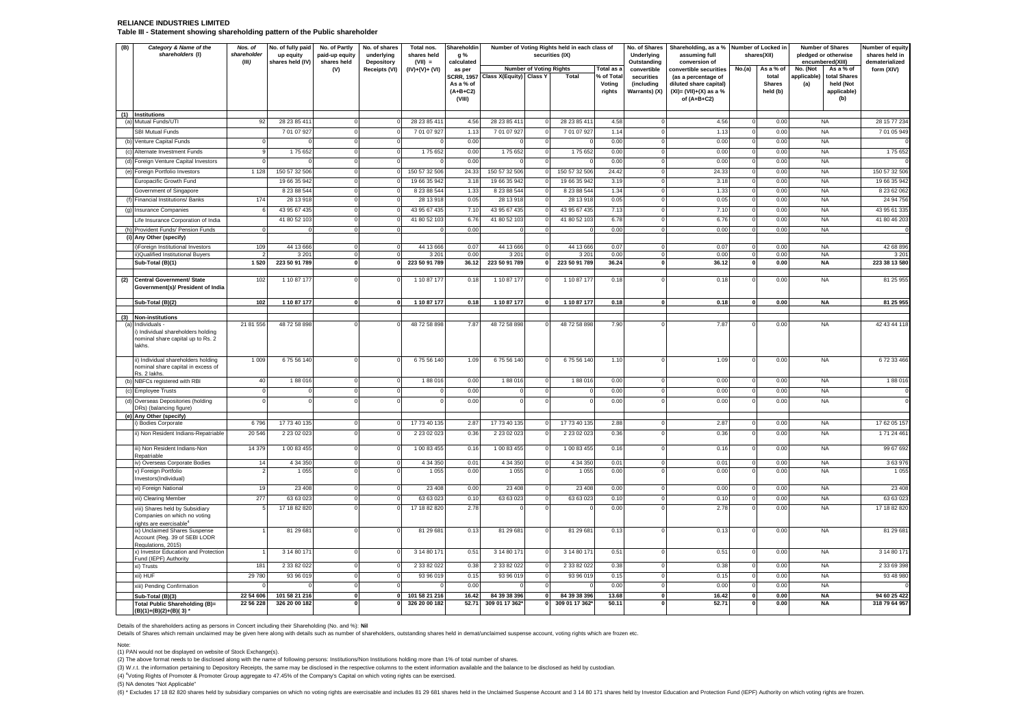#### **RELIANCE INDUSTRIES LIMITED Table III - Statement showing shareholding pattern of the Public shareholder**

| (B) | Category & Name of the<br>shareholders (I)                                                             | Nos. of<br>shareholder<br>(III) | No. of fully paid<br>up equity<br>shares held (IV) | No. of Partly<br>paid-up equity<br>shares held | No. of shares<br>underlying<br>Depository | Total nos.<br>shares held<br>$(VII) =$ | Shareholdin<br>g %<br>calculated                       |                                |                                | Number of Voting Rights held in each class of<br>securities (IX) |                                | No. of Shares<br>Underlying<br>Outstanding | Shareholding, as a % Number of Locked in<br>assuming full<br>conversion of                  |              | shares(XII)                        | <b>Number of Shares</b><br>pledged or otherwise<br>encumbered(XIII)<br>As a % of |                                    | Number of equity<br>shares held in<br>dematerialized |
|-----|--------------------------------------------------------------------------------------------------------|---------------------------------|----------------------------------------------------|------------------------------------------------|-------------------------------------------|----------------------------------------|--------------------------------------------------------|--------------------------------|--------------------------------|------------------------------------------------------------------|--------------------------------|--------------------------------------------|---------------------------------------------------------------------------------------------|--------------|------------------------------------|----------------------------------------------------------------------------------|------------------------------------|------------------------------------------------------|
|     |                                                                                                        |                                 |                                                    | (V)                                            | Receipts (VI)                             | $(IV)+(V)+(VI)$                        | as per                                                 |                                | <b>Number of Voting Rights</b> |                                                                  | Total as a                     | convertible                                | convertible securities                                                                      | No.(a)       | As a % of                          | No. (Not                                                                         |                                    | form (XIV)                                           |
|     |                                                                                                        |                                 |                                                    |                                                |                                           |                                        | <b>SCRR, 1957</b><br>As a % of<br>$(A+B+C2)$<br>(VIII) | <b>Class X(Equity) Class Y</b> |                                | Total                                                            | % of Total<br>Voting<br>rights | securities<br>(including<br>Warrants) (X)  | (as a percentage of<br>diluted share capital)<br>$(XI) = (VII)+(X)$ as a %<br>of $(A+B+C2)$ |              | total<br><b>Shares</b><br>held (b) | applicable)<br>held (Not<br>(a)                                                  | total Shares<br>applicable)<br>(b) |                                                      |
|     | (1) Institutions<br>(a) Mutual Funds/UTI                                                               | 92                              | 28 23 85 411                                       | $\mathbf 0$                                    | $\mathbf 0$                               | 28 23 85 411                           | 4.56                                                   | 28 23 85 411                   | $\mathbf 0$                    | 28 23 85 411                                                     | 4.58                           | $^{\circ}$                                 | 4.56                                                                                        | $\mathbf 0$  | 0.00                               | <b>NA</b>                                                                        |                                    | 28 15 77 234                                         |
|     | <b>SBI Mutual Funds</b>                                                                                |                                 | 7 01 07 927                                        | $\overline{0}$                                 | $\overline{0}$                            | 7 01 07 927                            | 1.13                                                   | 7 01 07 927                    | $\Omega$                       | 7 01 07 927                                                      | 1.14                           | $\Omega$                                   | 1.13                                                                                        | $\Omega$     | 0.00                               | <b>NA</b>                                                                        |                                    | 7 01 05 949                                          |
|     | (b) Venture Capital Funds                                                                              | $\mathbf 0$                     |                                                    | $\,$ 0                                         | $\mathbf 0$                               | $\Omega$                               | 0.00                                                   | $\Omega$                       | $\mathbf 0$                    | $\overline{0}$                                                   | 0.00                           | $^{\circ}$                                 | 0.00                                                                                        | $\circ$      | 0.00                               | <b>NA</b>                                                                        |                                    |                                                      |
|     | (c) Alternate Investment Funds                                                                         |                                 | 175652                                             | $\mathbf 0$                                    | $\mathbf 0$                               | 175 652                                | 0.00                                                   | 175 652                        | $\mathbf 0$                    | 175652                                                           | 0.00                           | $\mathbf 0$                                | 0.00                                                                                        |              | 0.00                               | <b>NA</b>                                                                        |                                    | 175 652                                              |
|     | (d) Foreign Venture Capital Investors                                                                  |                                 |                                                    | $\overline{0}$                                 | $\overline{0}$                            |                                        | 0.00                                                   |                                | 0                              |                                                                  | 0.00                           | $^{\circ}$                                 | 0.00                                                                                        |              | 0.00                               | <b>NA</b>                                                                        |                                    |                                                      |
|     | (e) Foreign Portfolio Investors                                                                        | 1 1 2 8                         | 150 57 32 506                                      | $\mathbf 0$                                    | $\mathbf 0$                               | 150 57 32 506                          | 24.33                                                  | 150 57 32 506                  | $\overline{0}$                 | 150 57 32 506                                                    | 24.42                          | $\mathbf 0$                                | 24.33                                                                                       | $\mathbf 0$  | 0.00                               | <b>NA</b>                                                                        |                                    | 150 57 32 506                                        |
|     | Europacific Growth Fund                                                                                |                                 | 19 66 35 942                                       | $\overline{0}$                                 | $\overline{0}$                            | 19 66 35 942                           | 3.18                                                   | 19 66 35 942                   | $\Omega$                       | 19 66 35 942                                                     | 3.19                           | $\Omega$                                   | 3.18                                                                                        | $\circ$      | 0.00                               | <b>NA</b>                                                                        |                                    | 19 66 35 942                                         |
|     | Government of Singapore                                                                                |                                 | 8 23 88 544                                        | $\mathbf 0$                                    | $\mathbf 0$                               | 8 23 88 544                            | 1.33                                                   | 8 23 88 544                    | $\circ$                        | 8 23 88 544                                                      | 1.34                           | $^{\circ}$                                 | 1.33                                                                                        | $\mathbf 0$  | 0.00                               | <b>NA</b>                                                                        |                                    | 8 23 62 062                                          |
|     | (f) Financial Institutions/ Banks                                                                      | 174                             | 28 13 918                                          | $\Omega$                                       | $\Omega$                                  | 28 13 918                              | 0.05                                                   | 28 13 918                      | $\Omega$                       | 28 13 918                                                        | 0.05                           | $\Omega$                                   | 0.05                                                                                        | $\Omega$     | 0.00                               | <b>NA</b>                                                                        |                                    | 24 94 756                                            |
|     | (g) Insurance Companies                                                                                |                                 | 43 95 67 435                                       | $\mathbf 0$                                    | $\mathbf 0$                               | 43 95 67 435                           | 7.10                                                   | 43 95 67 435                   | $\Omega$                       | 43 95 67 435                                                     | 7.13                           | $\Omega$                                   | 7.10                                                                                        | $\Omega$     | 0.00                               | <b>NA</b>                                                                        |                                    | 43 95 61 335                                         |
|     | Life Insurance Corporation of India                                                                    |                                 | 41 80 52 103                                       | $\Omega$                                       | $\Omega$                                  | 41 80 52 103                           | 6.76                                                   | 41 80 52 103                   | $\Omega$                       | 41 80 52 103                                                     | 6.78                           | $\Omega$                                   | 6.76                                                                                        | $\Omega$     | 0.00                               | <b>NA</b>                                                                        |                                    | 41 80 46 203                                         |
|     | (h) Provident Funds/ Pension Funds                                                                     | $\Omega$                        |                                                    | $\Omega$                                       | $\Omega$                                  | $\Omega$                               | 0.00                                                   |                                | $\Omega$                       | $\Omega$                                                         | 0.00                           | $\Omega$                                   | 0.00                                                                                        | $\Omega$     | 0.00                               | <b>NA</b>                                                                        |                                    |                                                      |
|     | (i) Any Other (specify)                                                                                |                                 |                                                    |                                                |                                           |                                        |                                                        |                                |                                |                                                                  |                                |                                            |                                                                                             |              |                                    |                                                                                  |                                    |                                                      |
|     | i)Foreign Institutional Investors                                                                      | 109                             | 44 13 666                                          | $\mathsf 0$                                    | $\mathbf 0$                               | 44 13 666                              | 0.07                                                   | 44 13 666                      | $\Omega$                       | 44 13 666                                                        | 0.07                           | $\Omega$                                   | 0.07                                                                                        | $\circ$      | 0.00                               | <b>NA</b>                                                                        |                                    | 42 68 896                                            |
|     | ii)Qualified Institutional Buyers                                                                      | $\mathcal{D}$                   | 3 2 0 1                                            | $\overline{0}$                                 | $\overline{0}$                            | 3 2 0 1                                | 0.00                                                   | 3 2 0 1                        | $\Omega$                       | 3 2 0 1                                                          | 0.00                           | $\mathbf 0$                                | 0.00                                                                                        | $\circ$      | 0.00                               | <b>NA</b>                                                                        |                                    | 3 201                                                |
|     | Sub-Total (B)(1)                                                                                       | 1 5 2 0                         | 223 50 91 789                                      | $\pmb{0}$                                      | $\mathbf{0}$                              | 223 50 91 789                          | 36.12                                                  | 223 50 91 789                  | 0                              | 223 50 91 789                                                    | 36.24                          | $\pmb{\mathsf{o}}$                         | 36.12                                                                                       | 0            | 0.00                               | <b>NA</b>                                                                        |                                    | 223 38 13 580                                        |
| (2) | <b>Central Government/ State</b>                                                                       | 102                             | 1 10 87 177                                        | $\Omega$                                       | $\Omega$                                  | 1 10 87 177                            | 0.18                                                   | 1 10 87 177                    | $\Omega$                       | 1 10 87 177                                                      | 0.18                           | $\Omega$                                   | 0.18                                                                                        | $\Omega$     | 0.00                               | <b>NA</b>                                                                        |                                    | 81 25 955                                            |
|     | Government(s)/ President of India                                                                      |                                 |                                                    |                                                |                                           |                                        |                                                        |                                |                                |                                                                  |                                |                                            |                                                                                             |              |                                    |                                                                                  |                                    |                                                      |
|     | Sub-Total (B)(2)                                                                                       | 102                             | 1 10 87 177                                        | $\overline{\mathbf{0}}$                        | $\mathbf{0}$                              | 1 10 87 177                            | 0.18                                                   | 1 10 87 177                    | $\mathbf{0}$                   | 1 10 87 177                                                      | 0.18                           | $\Omega$                                   | 0.18                                                                                        | 0            | 0.00                               | <b>NA</b>                                                                        |                                    | 81 25 955                                            |
|     | (3) Non-institutions                                                                                   |                                 |                                                    |                                                |                                           |                                        |                                                        |                                |                                |                                                                  |                                |                                            |                                                                                             |              |                                    |                                                                                  |                                    |                                                      |
|     | (a) Individuals -                                                                                      | 21 81 556                       | 48 72 58 898                                       | $\mathbf 0$                                    | $\mathbf 0$                               | 48 72 58 898                           | 7.87                                                   | 48 72 58 898                   | 0                              | 48 72 58 898                                                     | 7.90                           |                                            | 7.87                                                                                        |              | 0.00                               | <b>NA</b>                                                                        |                                    | 42 43 44 118                                         |
|     | i) Individual shareholders holding<br>nominal share capital up to Rs. 2<br>lakhs.                      |                                 |                                                    |                                                |                                           |                                        |                                                        |                                |                                |                                                                  |                                |                                            |                                                                                             |              |                                    |                                                                                  |                                    |                                                      |
|     | ii) Individual shareholders holding<br>nominal share capital in excess of<br>Rs. 2 lakhs.              | 1 0 0 9                         | 675 56 140                                         | $\Omega$                                       | $\Omega$                                  | 675 56 140                             | 1.09                                                   | 675 56 140                     | $\Omega$                       | 675 56 140                                                       | 1.10                           |                                            | 1.09                                                                                        | $\Omega$     | 0.00                               | <b>NA</b>                                                                        |                                    | 672 33 466                                           |
|     | (b) NBFCs registered with RBI                                                                          | 40                              | 188016                                             | $\Omega$                                       | $\Omega$                                  | 188016                                 | 0.00                                                   | 188016                         | $\Omega$                       | 188016                                                           | 0.00                           | $\Omega$                                   | 0.00                                                                                        | $\Omega$     | 0.00                               | <b>NA</b>                                                                        |                                    | 188016                                               |
|     | (c) Employee Trusts                                                                                    | $\Omega$                        | C                                                  | $\mathbf 0$                                    | $\mathbf 0$                               | $\Omega$                               | 0.00                                                   | $\Omega$                       | $\Omega$                       | $\Omega$                                                         | 0.00                           | $\Omega$                                   | 0.00                                                                                        | $\Omega$     | 0.00                               | <b>NA</b>                                                                        |                                    |                                                      |
|     | (d) Overseas Depositories (holding<br>DRs) (balancing figure)                                          |                                 |                                                    | $\Omega$                                       | $\Omega$                                  | $\Omega$                               | 0.00                                                   |                                | $\Omega$                       | $\Omega$                                                         | 0.00                           |                                            | 0.00                                                                                        |              | 0.00                               | <b>NA</b>                                                                        |                                    |                                                      |
|     | (e) Any Other (specify)                                                                                | 6796                            | 17 73 40 135                                       | $\mathbf 0$                                    | $\mathbf 0$                               | 17 73 40 135                           | 2.87                                                   | 17 73 40 135                   | $\Omega$                       | 17 73 40 135                                                     | 2.88                           | $\Omega$                                   | 2.87                                                                                        | $\Omega$     | 0.00                               | <b>NA</b>                                                                        |                                    | 17 62 05 157                                         |
|     | i) Bodies Corporate<br>ii) Non Resident Indians-Repatriable                                            | 20 546                          | 2 23 02 023                                        | $\mathbf 0$                                    | $\mathbf 0$                               | 2 23 02 023                            | 0.36                                                   | 2 2 3 0 2 0 2 3                | $\mathbf 0$                    | 2 23 02 023                                                      | 0.36                           | $\Omega$                                   | 0.36                                                                                        | $^{\circ}$   | 0.00                               | <b>NA</b>                                                                        |                                    | 171 24 461                                           |
|     |                                                                                                        |                                 |                                                    |                                                |                                           |                                        |                                                        |                                |                                |                                                                  |                                |                                            |                                                                                             |              |                                    |                                                                                  |                                    |                                                      |
|     | iii) Non Resident Indians-Non<br>Repatriable                                                           | 14 379                          | 1 00 83 455                                        | $^{\circ}$                                     | $\Omega$                                  | 1 00 83 455                            | 0.16                                                   | 1 00 83 455                    | $\Omega$                       | 1 00 83 455                                                      | 0.16                           | $\Omega$                                   | 0.16                                                                                        | $\Omega$     | 0.00                               | <b>NA</b>                                                                        |                                    | 99 67 692                                            |
|     | iv) Overseas Corporate Bodies                                                                          | 14                              | 4 34 350                                           | $\circ$                                        | $\overline{0}$                            | 4 34 350                               | 0.01                                                   | 4 34 350                       | $\mathbf 0$                    | 4 34 350                                                         | 0.01                           | $\Omega$                                   | 0.01                                                                                        | 0            | 0.00                               | <b>NA</b>                                                                        |                                    | 3 63 976                                             |
|     | v) Foreign Portfolio                                                                                   | $\mathfrak{p}$                  | 1 0 5 5                                            | $\mathbf 0$                                    | $\Omega$                                  | 1 0 5 5                                | 0.00                                                   | 1 0 5 5                        | $\Omega$                       | 1 0 5 5                                                          | 0.00                           | $\Omega$                                   | 0.00                                                                                        | $\Omega$     | 0.00                               | <b>NA</b>                                                                        |                                    | 1 0 5 5                                              |
|     | Investors(Individual)                                                                                  | 19                              | 23 408                                             | $\mathbf 0$                                    | $\mathbf 0$                               | 23 4 08                                | 0.00                                                   | 23 408                         | $\Omega$                       | 23 4 08                                                          | 0.00                           | $\Omega$                                   | 0.00                                                                                        | $\Omega$     | 0.00                               | <b>NA</b>                                                                        |                                    | 23 40 8                                              |
|     | vi) Foreign National                                                                                   | 277                             | 63 63 023                                          | $\mathsf 0$                                    | $\mathbf 0$                               | 63 63 023                              | 0.10                                                   | 63 63 023                      | $\mathbf 0$                    | 63 63 023                                                        | 0.10                           | $\Omega$                                   | 0.10                                                                                        | $^{\circ}$   | 0.00                               | <b>NA</b>                                                                        |                                    | 63 63 023                                            |
|     | vii) Clearing Member                                                                                   | 5                               |                                                    | $\mathbf 0$                                    | $\mathbf 0$                               |                                        | 2.78                                                   |                                | $\Omega$                       |                                                                  |                                |                                            |                                                                                             | $\Omega$     |                                    | <b>NA</b>                                                                        |                                    | 17 18 82 820                                         |
|     | viii) Shares held by Subsidiary<br>Companies on which no voting<br>rights are exercisable <sup>4</sup> |                                 | 17 18 82 820                                       |                                                |                                           | 17 18 82 820                           |                                                        |                                |                                |                                                                  | 0.00                           |                                            | 2.78                                                                                        |              | 0.00                               |                                                                                  |                                    |                                                      |
|     | ix) Unclaimed Shares Suspense<br>Account (Reg. 39 of SEBI LODR<br>Regulations, 2015)                   |                                 | 81 29 681                                          | $\Omega$                                       | $\mathbf 0$                               | 81 29 681                              | 0.13                                                   | 81 29 681                      | $\Omega$                       | 81 29 681                                                        | 0.13                           | $\Omega$                                   | 0.13                                                                                        | $\Omega$     | 0.00                               | <b>NA</b>                                                                        |                                    | 81 29 681                                            |
|     | x) Investor Education and Protection                                                                   |                                 | 3 14 80 171                                        | $\mathbf 0$                                    | $\Omega$                                  | 3 14 80 171                            | 0.51                                                   | 3 14 80 171                    | $\Omega$                       | 3 14 80 171                                                      | 0.51                           | $\Omega$                                   | 0.51                                                                                        | $\Omega$     | 0.00                               | <b>NA</b>                                                                        |                                    | 3 14 80 171                                          |
|     | Fund (IEPF) Authority<br>xi) Trusts                                                                    | 181                             | 2 33 82 022                                        | $\mathsf 0$                                    | $\mathbf 0$                               | 2 33 82 022                            | 0.38                                                   | 2 33 82 022                    | $\mathbf 0$                    | 2 33 82 022                                                      | 0.38                           | $^{\circ}$                                 | 0.38                                                                                        | $\mathbf 0$  | 0.00                               | <b>NA</b>                                                                        |                                    | 2 33 69 398                                          |
|     | xii) HUF                                                                                               | 29 780                          | 93 96 019                                          | $\mathbf 0$                                    | $\mathbf 0$                               | 93 96 019                              | 0.15                                                   | 93 96 019                      | $\mathbf 0$                    | 93 96 019                                                        | 0.15                           | $\mathbf 0$                                | 0.15                                                                                        | $\Omega$     | 0.00                               | <b>NA</b>                                                                        |                                    | 93 48 980                                            |
|     | xiii) Pending Confirmation                                                                             |                                 |                                                    | $\mathbf 0$                                    | $\mathbf 0$                               |                                        | 0.00                                                   |                                | $^{\circ}$                     |                                                                  | 0.00                           | $^{\circ}$                                 | 0.00                                                                                        | $^{\circ}$   | 0.00                               | <b>NA</b>                                                                        |                                    |                                                      |
|     | Sub-Total (B)(3)                                                                                       | 22 54 606                       | 101 58 21 216                                      | $\pmb{0}$                                      | 0                                         | 101 58 21 216                          | 16.42                                                  | 84 39 38 396                   | $\mathbf{0}$                   | 84 39 38 396                                                     | 13.68                          | $\mathbf 0$                                | 16.42                                                                                       | $\mathbf{0}$ | 0.00                               | <b>NA</b>                                                                        |                                    | 94 60 25 422                                         |
|     | <b>Total Public Shareholding (B)=</b>                                                                  | 22 56 228                       | 326 20 00 182                                      | $\Omega$                                       | $\Omega$                                  | 326 20 00 182                          | 52.71                                                  | 309 01 17 362                  | n١                             | 309 01 17 362*                                                   | 50.11                          |                                            | 52.71                                                                                       | $\mathbf{a}$ | 0.00                               | <b>NA</b>                                                                        |                                    | 318 79 64 957                                        |
|     | $(B)(1)+(B)(2)+(B)(3)$ *                                                                               |                                 |                                                    |                                                |                                           |                                        |                                                        |                                |                                |                                                                  |                                |                                            |                                                                                             |              |                                    |                                                                                  |                                    |                                                      |

Details of the shareholders acting as persons in Concert including their Shareholding (No. and %): Nil<br>Details of Shares which remain unclaimed may be given here along with details such as number of shareholders, outstand

Note: (1) PAN would not be displayed on website of Stock Exchange(s).

(2) The above format needs to be disclosed along with the name of following persons: Institutions/Non Institutions holding more than 1% of total number of shares.

(3) W.r.t. the information pertaining to Depository Receipts, the same may be disclosed in the respective columns to the extent information available and the balance to be disclosed as held by custodian.

(4) <sup>4</sup>Voting Rights of Promoter & Promoter Group aggregate to 47.45% of the Company's Capital on which voting rights can be exercised.

(5) NA denotes "Not Applicable"

(6) \* Excludes 17 18 82 820 shares held by subsidiary companies on which no voting rights are exercisable and includes 81 29 681 shares held in the Unclaimed Suspense Account and 3 14 80 171 shares held by Investor Educati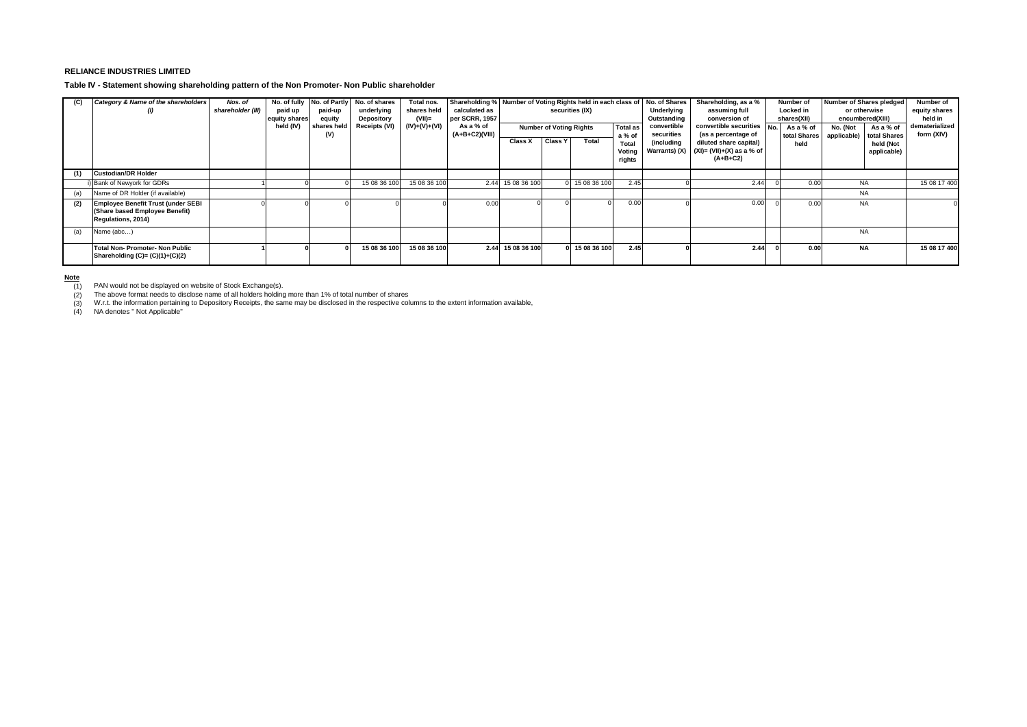#### **RELIANCE INDUSTRIES LIMITED**

**Table IV - Statement showing shareholding pattern of the Non Promoter- Non Public shareholder**

| (C) | Category & Name of the shareholders                                                               | Nos. of<br>shareholder (III) | No. of fully<br>paid up<br>equity shares | No. of Partly<br>paid-up<br>equity | No. of shares<br>underlying<br>Depository | Total nos.<br>shares held<br>$(VII)$ = | calculated as<br>per SCRR, 1957 | Shareholding % Number of Voting Rights held in each class of<br>securities (IX) |                |                                                             |                           | No. of Shares<br>Underlying<br>Outstanding | Shareholding, as a %<br>assuming full<br>conversion of<br>convertible securities<br>No.<br>(as a percentage of |  | Number of<br>Locked in<br>shares(XII) | Number of Shares pledged<br>or otherwise<br>encumbered(XIII) |                           | Number of<br>equity shares<br>held in |
|-----|---------------------------------------------------------------------------------------------------|------------------------------|------------------------------------------|------------------------------------|-------------------------------------------|----------------------------------------|---------------------------------|---------------------------------------------------------------------------------|----------------|-------------------------------------------------------------|---------------------------|--------------------------------------------|----------------------------------------------------------------------------------------------------------------|--|---------------------------------------|--------------------------------------------------------------|---------------------------|---------------------------------------|
|     |                                                                                                   |                              | held (IV)                                | shares held<br>(V)                 | Receipts (VI)                             | (IV)+(V)+(VI)                          | As a % of<br>$(A+B+C2)(VIII)$   |                                                                                 |                | <b>Number of Voting Rights</b><br><b>Total as</b><br>a % of |                           | convertible<br>securities                  |                                                                                                                |  | As a % of<br>total Shares             | No. (Not<br>applicable)                                      | As a % of<br>total Shares | dematerialized<br>form (XIV)          |
|     |                                                                                                   |                              |                                          |                                    |                                           |                                        |                                 | Class X                                                                         | <b>Class Y</b> | Total                                                       | Total<br>Voting<br>rights | (including<br>Warrants) (X)                | diluted share capital)<br>$(XI) = (VII)+(X)$ as a % of<br>$(A+B+C2)$                                           |  | held                                  |                                                              | held (Not<br>applicable)  |                                       |
| (1) | <b>Custodian/DR Holder</b>                                                                        |                              |                                          |                                    |                                           |                                        |                                 |                                                                                 |                |                                                             |                           |                                            |                                                                                                                |  |                                       |                                                              |                           |                                       |
|     | i) Bank of Newyork for GDRs                                                                       |                              |                                          |                                    | 15 08 36 100                              | 15 08 36 100                           |                                 | 2.44 15 08 36 100                                                               |                | 15 08 36 100                                                | 2.45                      |                                            | 2.44                                                                                                           |  | 0.00                                  | <b>NA</b>                                                    |                           | 15 08 17 400                          |
| (a) | Name of DR Holder (if available)                                                                  |                              |                                          |                                    |                                           |                                        |                                 |                                                                                 |                |                                                             |                           |                                            |                                                                                                                |  |                                       | <b>NA</b>                                                    |                           |                                       |
| (2) | <b>Employee Benefit Trust (under SEBI</b><br>(Share based Employee Benefit)<br>Regulations, 2014) |                              |                                          |                                    |                                           |                                        | 0.00                            |                                                                                 |                |                                                             | 0.00                      |                                            | 0.00                                                                                                           |  | 0.00                                  | <b>NA</b>                                                    |                           |                                       |
| (a) | Name (abc)                                                                                        |                              |                                          |                                    |                                           |                                        |                                 |                                                                                 |                |                                                             |                           |                                            |                                                                                                                |  |                                       | <b>NA</b>                                                    |                           |                                       |
|     | Total Non-Promoter-Non Public<br>Shareholding $(C)=(C)(1)+(C)(2)$                                 |                              |                                          |                                    | 15 08 36 100                              | 15 08 36 100                           |                                 | 2.44 15 08 36 100                                                               |                | 0 15 08 36 100                                              | 2.45                      |                                            | 2.44                                                                                                           |  | 0.00                                  | <b>NA</b>                                                    |                           | 15 08 17 400                          |

#### **Note**

PAN would not be displayed on website of Stock Exchange(s). The above format needs to disclose name of all holders holding more than 1% of total number of shares

(1) PAN would not be displayed on website of Stock Exchange(s).<br>(2) The above format needs to disclose name of all holders holding more than 1% of total number of shares<br>(3) W.r.t. the information pertaining to Depository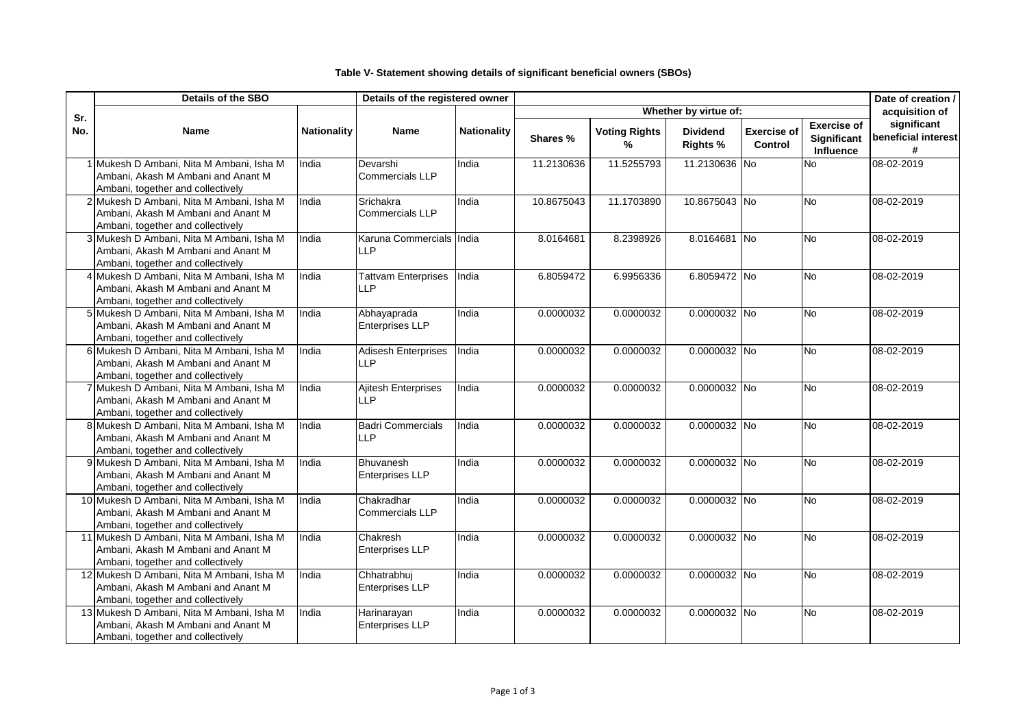## **Table V- Statement showing details of significant beneficial owners (SBOs)**

|     | Details of the SBO                                                                                                   |                    | Details of the registered owner            |                    |            | Date of creation /        |                                    |                               |                                                              |                                         |
|-----|----------------------------------------------------------------------------------------------------------------------|--------------------|--------------------------------------------|--------------------|------------|---------------------------|------------------------------------|-------------------------------|--------------------------------------------------------------|-----------------------------------------|
| Sr. |                                                                                                                      |                    |                                            |                    |            |                           | Whether by virtue of:              |                               |                                                              | acquisition of                          |
| No. | <b>Name</b>                                                                                                          | <b>Nationality</b> | Name                                       | <b>Nationality</b> | Shares %   | <b>Voting Rights</b><br>℅ | <b>Dividend</b><br><b>Rights %</b> | <b>Exercise of</b><br>Control | <b>Exercise of</b><br><b>Significant</b><br><b>Influence</b> | significant<br>beneficial interest<br># |
|     | 1 Mukesh D Ambani, Nita M Ambani, Isha M<br>Ambani, Akash M Ambani and Anant M<br>Ambani, together and collectively  | India              | Devarshi<br>Commercials LLP                | India              | 11.2130636 | 11.5255793                | 11.2130636 No                      |                               | No                                                           | 08-02-2019                              |
|     | 2 Mukesh D Ambani, Nita M Ambani, Isha M<br>Ambani, Akash M Ambani and Anant M<br>Ambani, together and collectively  | India              | <b>Srichakra</b><br>Commercials LLP        | India              | 10.8675043 | 11.1703890                | 10.8675043 No                      |                               | <b>No</b>                                                    | 08-02-2019                              |
|     | 3 Mukesh D Ambani, Nita M Ambani, Isha M<br>Ambani, Akash M Ambani and Anant M<br>Ambani, together and collectively  | India              | Karuna Commercials India<br><b>LLP</b>     |                    | 8.0164681  | 8.2398926                 | 8.0164681 No                       |                               | <b>No</b>                                                    | 08-02-2019                              |
|     | 4 Mukesh D Ambani, Nita M Ambani, Isha M<br>Ambani, Akash M Ambani and Anant M<br>Ambani, together and collectively  | India              | <b>Tattvam Enterprises</b><br><b>LLP</b>   | India              | 6.8059472  | 6.9956336                 | 6.8059472 No                       |                               | <b>No</b>                                                    | 08-02-2019                              |
|     | 5 Mukesh D Ambani, Nita M Ambani, Isha M<br>Ambani, Akash M Ambani and Anant M<br>Ambani, together and collectively  | India              | Abhayaprada<br><b>Enterprises LLP</b>      | India              | 0.0000032  | 0.0000032                 | 0.0000032 No                       |                               | <b>No</b>                                                    | 08-02-2019                              |
|     | 6 Mukesh D Ambani, Nita M Ambani, Isha M<br>Ambani, Akash M Ambani and Anant M<br>Ambani, together and collectively  | India              | <b>Adisesh Enterprises</b><br><b>LLP</b>   | India              | 0.0000032  | 0.0000032                 | 0.0000032 No                       |                               | <b>No</b>                                                    | 08-02-2019                              |
|     | 7 Mukesh D Ambani, Nita M Ambani, Isha M<br>Ambani, Akash M Ambani and Anant M<br>Ambani, together and collectively  | India              | <b>Ajitesh Enterprises</b><br><b>LLP</b>   | India              | 0.0000032  | 0.0000032                 | 0.0000032 No                       |                               | <b>No</b>                                                    | 08-02-2019                              |
|     | 8 Mukesh D Ambani, Nita M Ambani, Isha M<br>Ambani, Akash M Ambani and Anant M<br>Ambani, together and collectively  | India              | <b>Badri Commercials</b><br><b>LLP</b>     | India              | 0.0000032  | 0.0000032                 | 0.0000032 No                       |                               | <b>No</b>                                                    | 08-02-2019                              |
|     | 9 Mukesh D Ambani, Nita M Ambani, Isha M<br>Ambani, Akash M Ambani and Anant M<br>Ambani, together and collectively  | India              | <b>Bhuvanesh</b><br><b>Enterprises LLP</b> | India              | 0.0000032  | 0.0000032                 | 0.0000032 No                       |                               | <b>No</b>                                                    | 08-02-2019                              |
|     | 10 Mukesh D Ambani, Nita M Ambani, Isha M<br>Ambani, Akash M Ambani and Anant M<br>Ambani, together and collectively | India              | Chakradhar<br>Commercials LLP              | India              | 0.0000032  | 0.0000032                 | 0.0000032 No                       |                               | <b>No</b>                                                    | 08-02-2019                              |
|     | 11 Mukesh D Ambani, Nita M Ambani, Isha M<br>Ambani, Akash M Ambani and Anant M<br>Ambani, together and collectively | India              | Chakresh<br><b>Enterprises LLP</b>         | India              | 0.0000032  | 0.0000032                 | $0.0000032$ No                     |                               | No                                                           | 08-02-2019                              |
|     | 12 Mukesh D Ambani, Nita M Ambani, Isha M<br>Ambani, Akash M Ambani and Anant M<br>Ambani, together and collectively | India              | Chhatrabhuj<br><b>Enterprises LLP</b>      | India              | 0.0000032  | 0.0000032                 | 0.0000032 No                       |                               | Ю                                                            | 08-02-2019                              |
|     | 13 Mukesh D Ambani, Nita M Ambani, Isha M<br>Ambani, Akash M Ambani and Anant M<br>Ambani, together and collectively | India              | Harinarayan<br><b>Enterprises LLP</b>      | India              | 0.0000032  | 0.0000032                 | $0.0000032$ No                     |                               | <b>No</b>                                                    | 08-02-2019                              |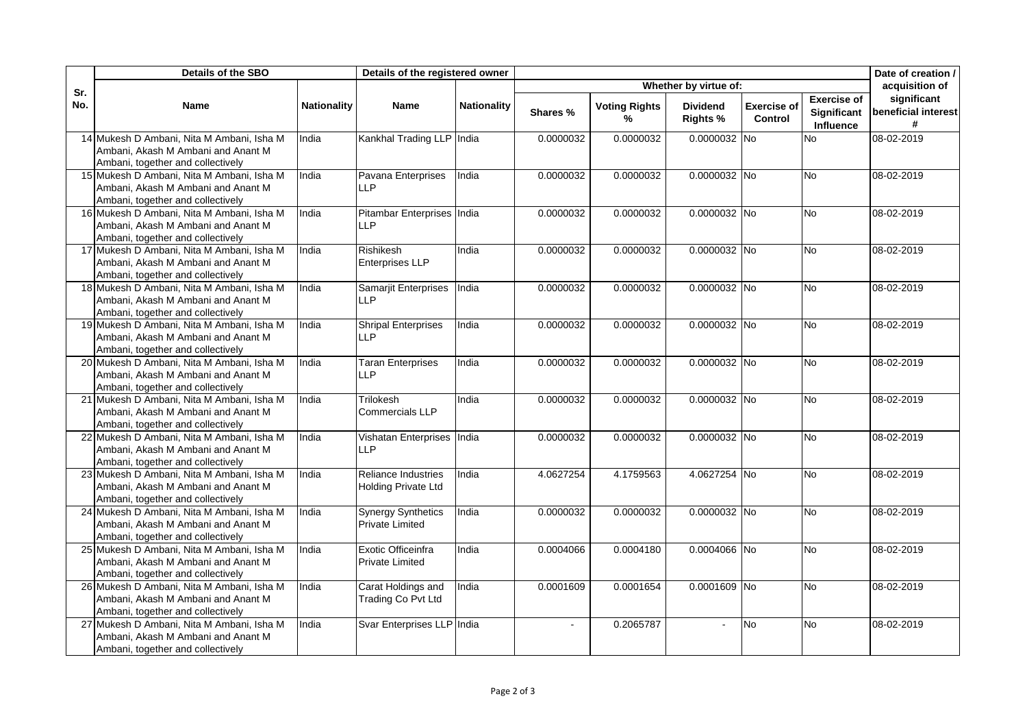|            | <b>Details of the SBO</b>                                                                                            |                    | Details of the registered owner                   |                    |              | Date of creation /        |                                    |                               |                                                       |                                         |
|------------|----------------------------------------------------------------------------------------------------------------------|--------------------|---------------------------------------------------|--------------------|--------------|---------------------------|------------------------------------|-------------------------------|-------------------------------------------------------|-----------------------------------------|
|            |                                                                                                                      |                    |                                                   |                    |              |                           | Whether by virtue of:              |                               |                                                       | acquisition of                          |
| Sr.<br>No. | Name                                                                                                                 | <b>Nationality</b> | <b>Name</b>                                       | <b>Nationality</b> | Shares %     | <b>Voting Rights</b><br>% | <b>Dividend</b><br><b>Rights %</b> | <b>Exercise of</b><br>Control | <b>Exercise of</b><br>Significant<br><b>Influence</b> | significant<br>beneficial interest<br># |
|            | 14 Mukesh D Ambani, Nita M Ambani, Isha M<br>Ambani, Akash M Ambani and Anant M<br>Ambani, together and collectively | India              | Kankhal Trading LLP India                         |                    | 0.0000032    | 0.0000032                 | 0.0000032 No                       |                               | No.                                                   | 08-02-2019                              |
|            | 15 Mukesh D Ambani, Nita M Ambani, Isha M<br>Ambani, Akash M Ambani and Anant M<br>Ambani, together and collectively | India              | Pavana Enterprises<br>II <sub>P</sub>             | India              | 0.0000032    | 0.0000032                 | 0.0000032 No                       |                               | <b>No</b>                                             | 08-02-2019                              |
|            | 16 Mukesh D Ambani, Nita M Ambani, Isha M<br>Ambani, Akash M Ambani and Anant M<br>Ambani, together and collectively | India              | Pitambar Enterprises India<br>IIP                 |                    | 0.0000032    | 0.0000032                 | 0.0000032 No                       |                               | <b>No</b>                                             | 08-02-2019                              |
|            | 17 Mukesh D Ambani, Nita M Ambani, Isha M<br>Ambani, Akash M Ambani and Anant M<br>Ambani, together and collectively | India              | Rishikesh<br>Enterprises LLP                      | India              | 0.0000032    | 0.0000032                 | 0.0000032 No                       |                               | <b>No</b>                                             | 08-02-2019                              |
|            | 18 Mukesh D Ambani, Nita M Ambani, Isha M<br>Ambani, Akash M Ambani and Anant M<br>Ambani, together and collectively | India              | Samarjit Enterprises<br>IIP                       | India              | 0.0000032    | 0.0000032                 | 0.0000032 No                       |                               | ΟN                                                    | 08-02-2019                              |
|            | 19 Mukesh D Ambani, Nita M Ambani, Isha M<br>Ambani, Akash M Ambani and Anant M<br>Ambani, together and collectively | India              | <b>Shripal Enterprises</b><br><b>LLP</b>          | India              | 0.0000032    | 0.0000032                 | 0.0000032 No                       |                               | No                                                    | 08-02-2019                              |
|            | 20 Mukesh D Ambani, Nita M Ambani, Isha M<br>Ambani, Akash M Ambani and Anant M<br>Ambani, together and collectively | India              | <b>Taran Enterprises</b><br><b>LLP</b>            | India              | 0.0000032    | 0.0000032                 | 0.0000032 No                       |                               | ΟN                                                    | 08-02-2019                              |
|            | 21 Mukesh D Ambani, Nita M Ambani, Isha M<br>Ambani, Akash M Ambani and Anant M<br>Ambani, together and collectively | India              | Trilokesh<br>Commercials LLP                      | India              | 0.0000032    | 0.0000032                 | 0.0000032 No                       |                               | ΟN                                                    | 08-02-2019                              |
|            | 22 Mukesh D Ambani, Nita M Ambani, Isha M<br>Ambani, Akash M Ambani and Anant M<br>Ambani, together and collectively | India              | <b>Vishatan Enterprises</b><br><b>LLP</b>         | India              | 0.0000032    | 0.0000032                 | 0.0000032 No                       |                               | No                                                    | 08-02-2019                              |
|            | 23 Mukesh D Ambani, Nita M Ambani, Isha M<br>Ambani, Akash M Ambani and Anant M<br>Ambani, together and collectively | India              | Reliance Industries<br><b>Holding Private Ltd</b> | India              | 4.0627254    | 4.1759563                 | 4.0627254 No                       |                               | ΟN                                                    | 08-02-2019                              |
|            | 24 Mukesh D Ambani, Nita M Ambani, Isha M<br>Ambani, Akash M Ambani and Anant M<br>Ambani, together and collectively | India              | <b>Synergy Synthetics</b><br>Private Limited      | India              | 0.0000032    | 0.0000032                 | 0.0000032 No                       |                               | No                                                    | 08-02-2019                              |
|            | 25 Mukesh D Ambani, Nita M Ambani, Isha M<br>Ambani, Akash M Ambani and Anant M<br>Ambani, together and collectively | India              | Exotic Officeinfra<br>Private Limited             | India              | 0.0004066    | 0.0004180                 | 0.0004066 No                       |                               | <b>No</b>                                             | 08-02-2019                              |
|            | 26 Mukesh D Ambani, Nita M Ambani, Isha M<br>Ambani, Akash M Ambani and Anant M<br>Ambani, together and collectively | India              | Carat Holdings and<br>Trading Co Pvt Ltd          | India              | 0.0001609    | 0.0001654                 | 0.0001609 No                       |                               | <b>No</b>                                             | 08-02-2019                              |
|            | 27 Mukesh D Ambani, Nita M Ambani, Isha M<br>Ambani, Akash M Ambani and Anant M<br>Ambani, together and collectively | India              | Svar Enterprises LLP India                        |                    | $\mathbf{r}$ | 0.2065787                 |                                    | <b>No</b>                     | <b>No</b>                                             | 08-02-2019                              |